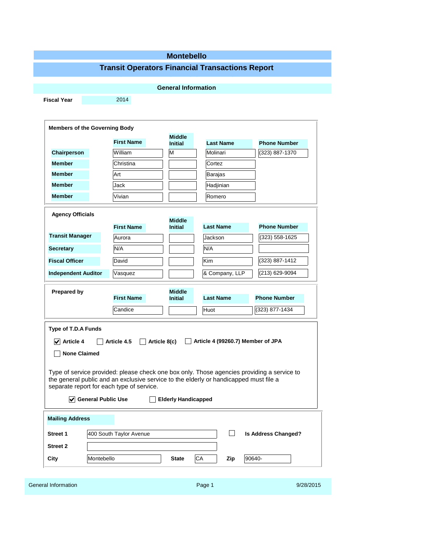## **Montebello**

# **Transit Operators Financial Transactions Report**

|                                                                                                                                                                                                                                                                                                                  |                         | <b>General Information</b>      |                                   |                            |
|------------------------------------------------------------------------------------------------------------------------------------------------------------------------------------------------------------------------------------------------------------------------------------------------------------------|-------------------------|---------------------------------|-----------------------------------|----------------------------|
| <b>Fiscal Year</b>                                                                                                                                                                                                                                                                                               | 2014                    |                                 |                                   |                            |
|                                                                                                                                                                                                                                                                                                                  |                         |                                 |                                   |                            |
| <b>Members of the Governing Body</b>                                                                                                                                                                                                                                                                             |                         |                                 |                                   |                            |
|                                                                                                                                                                                                                                                                                                                  | <b>First Name</b>       | <b>Middle</b><br><b>Initial</b> | <b>Last Name</b>                  | <b>Phone Number</b>        |
| Chairperson                                                                                                                                                                                                                                                                                                      | William                 | M                               | Molinari                          | (323) 887-1370             |
| <b>Member</b>                                                                                                                                                                                                                                                                                                    | Christina               |                                 | Cortez                            |                            |
| <b>Member</b>                                                                                                                                                                                                                                                                                                    | Art                     |                                 | Barajas                           |                            |
| <b>Member</b>                                                                                                                                                                                                                                                                                                    | Jack                    |                                 | Hadjinian                         |                            |
| <b>Member</b>                                                                                                                                                                                                                                                                                                    | Vivian                  |                                 | Romero                            |                            |
|                                                                                                                                                                                                                                                                                                                  |                         |                                 |                                   |                            |
| <b>Agency Officials</b>                                                                                                                                                                                                                                                                                          |                         | <b>Middle</b>                   |                                   |                            |
| <b>Transit Manager</b>                                                                                                                                                                                                                                                                                           | <b>First Name</b>       | <b>Initial</b>                  | <b>Last Name</b>                  | <b>Phone Number</b>        |
|                                                                                                                                                                                                                                                                                                                  | Aurora                  |                                 | Jackson                           | (323) 558-1625             |
| Secretary                                                                                                                                                                                                                                                                                                        | N/A                     |                                 | N/A                               |                            |
| <b>Fiscal Officer</b>                                                                                                                                                                                                                                                                                            | David                   |                                 | Kim                               | (323) 887-1412             |
| <b>Independent Auditor</b>                                                                                                                                                                                                                                                                                       | Vasquez                 |                                 | & Company, LLP                    | (213) 629-9094             |
|                                                                                                                                                                                                                                                                                                                  |                         |                                 |                                   |                            |
| <b>Prepared by</b>                                                                                                                                                                                                                                                                                               | <b>First Name</b>       | <b>Middle</b><br><b>Initial</b> | <b>Last Name</b>                  | <b>Phone Number</b>        |
|                                                                                                                                                                                                                                                                                                                  |                         |                                 |                                   |                            |
|                                                                                                                                                                                                                                                                                                                  | Candice                 |                                 | Huot                              | (323) 877-1434             |
| $\vert \mathbf{v} \vert$ Article 4<br><b>None Claimed</b>                                                                                                                                                                                                                                                        | Article 4.5             | Article 8(c)                    | Article 4 (99260.7) Member of JPA |                            |
|                                                                                                                                                                                                                                                                                                                  |                         |                                 |                                   |                            |
| $\sqrt{\phantom{a}}$ General Public Use                                                                                                                                                                                                                                                                          |                         | <b>Elderly Handicapped</b>      |                                   |                            |
|                                                                                                                                                                                                                                                                                                                  |                         |                                 |                                   |                            |
|                                                                                                                                                                                                                                                                                                                  | 400 South Taylor Avenue |                                 |                                   | <b>Is Address Changed?</b> |
| Type of T.D.A Funds<br>Type of service provided: please check one box only. Those agencies providing a service to<br>the general public and an exclusive service to the elderly or handicapped must file a<br>separate report for each type of service.<br><b>Mailing Address</b><br>Street 1<br><b>Street 2</b> |                         |                                 |                                   |                            |

| General Information | Page 1 | 9/28/2015 |
|---------------------|--------|-----------|
|                     |        |           |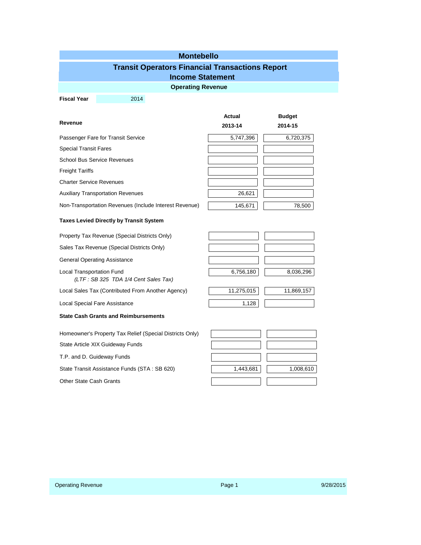#### **Montebello**

### **Transit Operators Financial Transactions Report**

### **Income Statement**

**Operating Revenue**

**Fiscal Year** 2014

|                                                        | <b>Actual</b> | <b>Budget</b> |
|--------------------------------------------------------|---------------|---------------|
| Revenue                                                | 2013-14       | 2014-15       |
| Passenger Fare for Transit Service                     | 5,747,396     | 6,720,375     |
| <b>Special Transit Fares</b>                           |               |               |
| <b>School Bus Service Revenues</b>                     |               |               |
| <b>Freight Tariffs</b>                                 |               |               |
| <b>Charter Service Revenues</b>                        |               |               |
| <b>Auxiliary Transportation Revenues</b>               | 26,621        |               |
| Non-Transportation Revenues (Include Interest Revenue) | 145,671       | 78,500        |

#### **Taxes Levied Directly by Transit System**

Property Tax Revenue (Special Districts Only)

Sales Tax Revenue (Special Districts Only)

General Operating Assistance

Local Transportation Fund *(LTF : SB 325 TDA 1/4 Cent Sales Tax)*

Local Sales Tax (Contributed From Another Agency)

Local Special Fare Assistance

| <b>State Cash Grants and Reimbursements</b> |  |
|---------------------------------------------|--|
|---------------------------------------------|--|

Homeowner's Property Tax Relief (Special Districts Only)

State Article XIX Guideway Funds

T.P. and D. Guideway Funds

State Transit Assistance Funds (STA: SB 620)

Other State Cash Grants

| 6,756,180        | 8,036,296    |
|------------------|--------------|
|                  |              |
| $AA$ $075$ $045$ | 00015<br>4 A |

| 11,275,015 | 11,869,157 |
|------------|------------|
|            |            |

| 1,443,681 | 1,008,610 |
|-----------|-----------|
|           |           |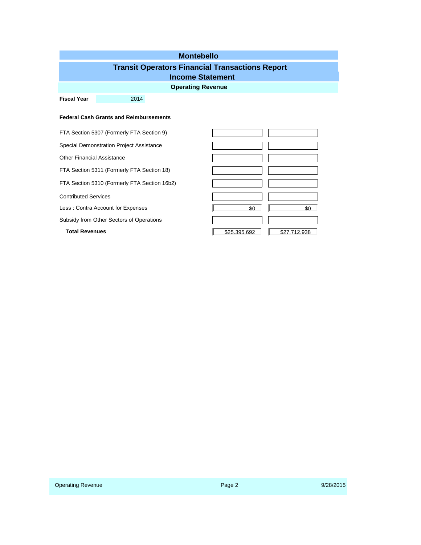# **Operating Revenue Montebello Fiscal Year** 2014 **Transit Operators Financial Transactions Report Income Statement Federal Cash Grants and Reimbursements** FTA Section 5307 (Formerly FTA Section 9) Special Demonstration Project Assistance Other Financial Assistance FTA Section 5311 (Formerly FTA Section 18) FTA Section 5310 (Formerly FTA Section 16b2) Contributed Services Less : Contra Account for Expenses  $\overline{50}$   $\overline{50}$   $\overline{50}$   $\overline{50}$ Subsidy from Other Sectors of Operations **Total Revenues 1988 1999 12:39 12:39 12:39 12:39 12:39 12:39 12:39 12:39 12:39 12:39 12:39 12:39 12:39 12:39 12:39 12:39 12:39 12:39 12:39 12:39 12:39 12:39 12:39 12:39 12:39 12:39 12:39 12:39 12:39 12:39 12:39 12:39**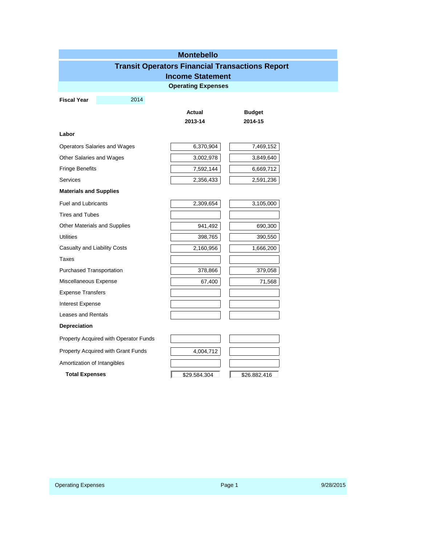| <b>Montebello</b>               |                                       |                           |                                                        |  |  |  |
|---------------------------------|---------------------------------------|---------------------------|--------------------------------------------------------|--|--|--|
|                                 |                                       |                           | <b>Transit Operators Financial Transactions Report</b> |  |  |  |
|                                 |                                       | <b>Income Statement</b>   |                                                        |  |  |  |
|                                 |                                       | <b>Operating Expenses</b> |                                                        |  |  |  |
| <b>Fiscal Year</b>              | 2014                                  |                           |                                                        |  |  |  |
|                                 |                                       | Actual                    | <b>Budget</b>                                          |  |  |  |
|                                 |                                       | 2013-14                   | 2014-15                                                |  |  |  |
| Labor                           |                                       |                           |                                                        |  |  |  |
|                                 | Operators Salaries and Wages          | 6,370,904                 | 7,469,152                                              |  |  |  |
| Other Salaries and Wages        |                                       | 3,002,978                 | 3,849,640                                              |  |  |  |
| <b>Fringe Benefits</b>          |                                       | 7,592,144                 | 6,669,712                                              |  |  |  |
| <b>Services</b>                 |                                       | 2,356,433                 | 2,591,236                                              |  |  |  |
| <b>Materials and Supplies</b>   |                                       |                           |                                                        |  |  |  |
| <b>Fuel and Lubricants</b>      |                                       | 2,309,654                 | 3,105,000                                              |  |  |  |
| <b>Tires and Tubes</b>          |                                       |                           |                                                        |  |  |  |
|                                 | Other Materials and Supplies          | 941,492                   | 690,300                                                |  |  |  |
| <b>Utilities</b>                |                                       | 398,765                   | 390,550                                                |  |  |  |
| Casualty and Liability Costs    |                                       | 2,160,956                 | 1,666,200                                              |  |  |  |
| Taxes                           |                                       |                           |                                                        |  |  |  |
| <b>Purchased Transportation</b> |                                       | 378,866                   | 379,058                                                |  |  |  |
| Miscellaneous Expense           |                                       | 67,400                    | 71,568                                                 |  |  |  |
| <b>Expense Transfers</b>        |                                       |                           |                                                        |  |  |  |
| Interest Expense                |                                       |                           |                                                        |  |  |  |
| Leases and Rentals              |                                       |                           |                                                        |  |  |  |
| <b>Depreciation</b>             |                                       |                           |                                                        |  |  |  |
|                                 | Property Acquired with Operator Funds |                           |                                                        |  |  |  |
|                                 | Property Acquired with Grant Funds    | 4,004,712                 |                                                        |  |  |  |
| Amortization of Intangibles     |                                       |                           |                                                        |  |  |  |
| <b>Total Expenses</b>           |                                       | \$29.584.304              | \$26.882.416                                           |  |  |  |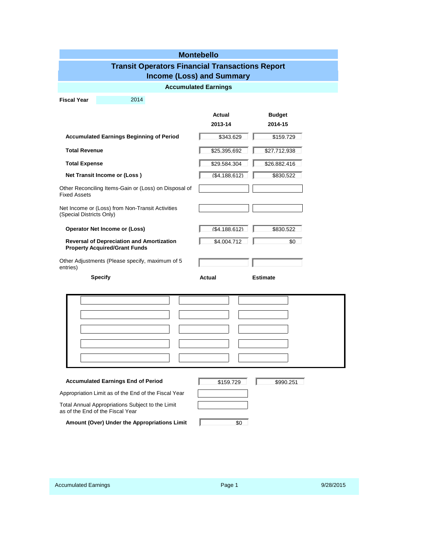|                                                                 | <b>Montebello</b>                                                                        |  |                   |                          |  |  |
|-----------------------------------------------------------------|------------------------------------------------------------------------------------------|--|-------------------|--------------------------|--|--|
| <b>Transit Operators Financial Transactions Report</b>          |                                                                                          |  |                   |                          |  |  |
| <b>Income (Loss) and Summary</b><br><b>Accumulated Earnings</b> |                                                                                          |  |                   |                          |  |  |
|                                                                 |                                                                                          |  |                   |                          |  |  |
| <b>Fiscal Year</b>                                              | 2014                                                                                     |  |                   |                          |  |  |
|                                                                 |                                                                                          |  | Actual<br>2013-14 | <b>Budget</b><br>2014-15 |  |  |
|                                                                 | <b>Accumulated Earnings Beginning of Period</b>                                          |  | \$343.629         | \$159.729                |  |  |
| <b>Total Revenue</b>                                            |                                                                                          |  | \$25.395.692      | \$27.712.938             |  |  |
| <b>Total Expense</b>                                            |                                                                                          |  | \$29.584.304      | \$26.882.416             |  |  |
|                                                                 | Net Transit Income or (Loss)                                                             |  | (S4.188.612)      | \$830.522                |  |  |
| <b>Fixed Assets</b>                                             | Other Reconciling Items-Gain or (Loss) on Disposal of                                    |  |                   |                          |  |  |
| (Special Districts Only)                                        | Net Income or (Loss) from Non-Transit Activities                                         |  |                   |                          |  |  |
|                                                                 | <b>Operator Net Income or (Loss)</b>                                                     |  | (S4.188.612)      | \$830.522                |  |  |
|                                                                 | <b>Reversal of Depreciation and Amortization</b><br><b>Property Acquired/Grant Funds</b> |  | \$4.004.712       | \$0                      |  |  |
| entries)                                                        | Other Adjustments (Please specify, maximum of 5                                          |  |                   |                          |  |  |
|                                                                 | <b>Specify</b>                                                                           |  | Actual            | <b>Estimate</b>          |  |  |
|                                                                 |                                                                                          |  |                   |                          |  |  |
|                                                                 |                                                                                          |  |                   |                          |  |  |
|                                                                 |                                                                                          |  |                   |                          |  |  |
|                                                                 |                                                                                          |  |                   |                          |  |  |
|                                                                 |                                                                                          |  |                   |                          |  |  |
|                                                                 |                                                                                          |  |                   |                          |  |  |
|                                                                 | <b>Accumulated Earnings End of Period</b>                                                |  | \$159.729         | \$990.251                |  |  |
|                                                                 | Appropriation Limit as of the End of the Fiscal Year                                     |  |                   |                          |  |  |
|                                                                 | Total Annual Appropriations Subject to the Limit<br>as of the End of the Fiscal Year     |  |                   |                          |  |  |
|                                                                 | Amount (Over) Under the Appropriations Limit                                             |  | \$0               |                          |  |  |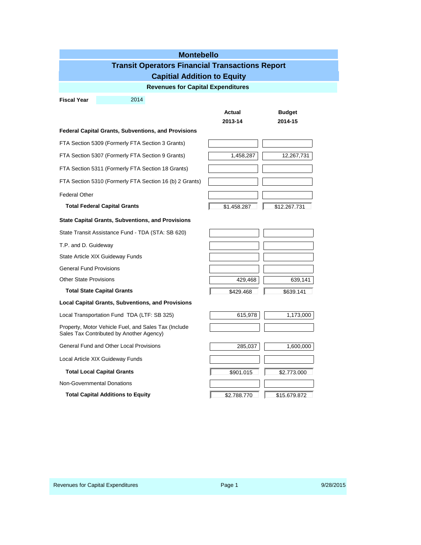| <b>Montebello</b>                                      |                                                                                                  |                   |                          |  |  |  |
|--------------------------------------------------------|--------------------------------------------------------------------------------------------------|-------------------|--------------------------|--|--|--|
| <b>Transit Operators Financial Transactions Report</b> |                                                                                                  |                   |                          |  |  |  |
|                                                        | <b>Capitial Addition to Equity</b>                                                               |                   |                          |  |  |  |
|                                                        | <b>Revenues for Capital Expenditures</b>                                                         |                   |                          |  |  |  |
| <b>Fiscal Year</b>                                     | 2014                                                                                             |                   |                          |  |  |  |
|                                                        |                                                                                                  | Actual<br>2013-14 | <b>Budget</b><br>2014-15 |  |  |  |
|                                                        | <b>Federal Capital Grants, Subventions, and Provisions</b>                                       |                   |                          |  |  |  |
|                                                        | FTA Section 5309 (Formerly FTA Section 3 Grants)                                                 |                   |                          |  |  |  |
|                                                        | FTA Section 5307 (Formerly FTA Section 9 Grants)                                                 | 1,458,287         | 12,267,731               |  |  |  |
|                                                        | FTA Section 5311 (Formerly FTA Section 18 Grants)                                                |                   |                          |  |  |  |
|                                                        | FTA Section 5310 (Formerly FTA Section 16 (b) 2 Grants)                                          |                   |                          |  |  |  |
| <b>Federal Other</b>                                   |                                                                                                  |                   |                          |  |  |  |
|                                                        | <b>Total Federal Capital Grants</b>                                                              | \$1.458.287       | \$12.267.731             |  |  |  |
|                                                        | <b>State Capital Grants, Subventions, and Provisions</b>                                         |                   |                          |  |  |  |
|                                                        | State Transit Assistance Fund - TDA (STA: SB 620)                                                |                   |                          |  |  |  |
| T.P. and D. Guideway                                   |                                                                                                  |                   |                          |  |  |  |
|                                                        | State Article XIX Guideway Funds                                                                 |                   |                          |  |  |  |
| <b>General Fund Provisions</b>                         |                                                                                                  |                   |                          |  |  |  |
| <b>Other State Provisions</b>                          |                                                                                                  | 429,468           | 639,141                  |  |  |  |
|                                                        | <b>Total State Capital Grants</b>                                                                | \$429.468         | \$639.141                |  |  |  |
|                                                        | <b>Local Capital Grants, Subventions, and Provisions</b>                                         |                   |                          |  |  |  |
|                                                        | Local Transportation Fund TDA (LTF: SB 325)                                                      | 615,978           | 1,173,000                |  |  |  |
|                                                        | Property, Motor Vehicle Fuel, and Sales Tax (Include<br>Sales Tax Contributed by Another Agency) |                   |                          |  |  |  |
|                                                        | <b>General Fund and Other Local Provisions</b>                                                   | 285,037           | 1,600,000                |  |  |  |
|                                                        | Local Article XIX Guideway Funds                                                                 |                   |                          |  |  |  |
|                                                        | <b>Total Local Capital Grants</b>                                                                | \$901.015         | \$2.773.000              |  |  |  |
|                                                        | <b>Non-Governmental Donations</b>                                                                |                   |                          |  |  |  |
|                                                        | <b>Total Capital Additions to Equity</b>                                                         | \$2.788.770       | \$15,679,872             |  |  |  |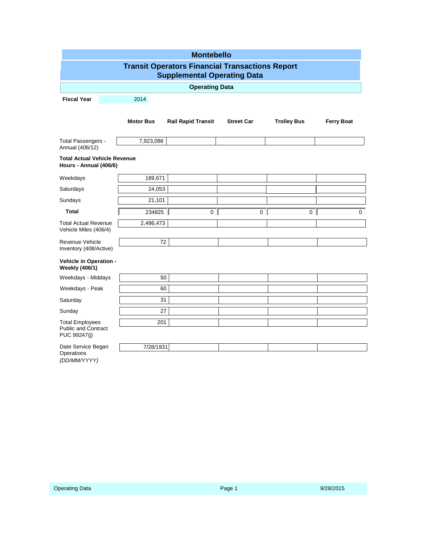| <b>Montebello</b><br><b>Transit Operators Financial Transactions Report</b><br><b>Supplemental Operating Data</b> |                       |                           |                   |                    |                   |  |
|-------------------------------------------------------------------------------------------------------------------|-----------------------|---------------------------|-------------------|--------------------|-------------------|--|
|                                                                                                                   | <b>Operating Data</b> |                           |                   |                    |                   |  |
| <b>Fiscal Year</b>                                                                                                | 2014                  |                           |                   |                    |                   |  |
|                                                                                                                   | <b>Motor Bus</b>      | <b>Rail Rapid Transit</b> | <b>Street Car</b> | <b>Trolley Bus</b> | <b>Ferry Boat</b> |  |
| Total Passengers -<br>Annual (406/12)                                                                             | 7,923,086             |                           |                   |                    |                   |  |
| <b>Total Actual Vehicle Revenue</b><br>Hours - Annual (406/6)                                                     |                       |                           |                   |                    |                   |  |
| Weekdays                                                                                                          | 189,671               |                           |                   |                    |                   |  |
| Saturdays                                                                                                         | 24,053                |                           |                   |                    |                   |  |
| Sundays                                                                                                           | 21,101                |                           |                   |                    |                   |  |
| <b>Total</b>                                                                                                      | 234825                | $\overline{0}$            | 0 <sup>1</sup>    | 0 <sup>1</sup>     | $\Omega$          |  |
| <b>Total Actual Revenue</b><br>Vehicle Miles (406/4)                                                              | 2,486,473             |                           |                   |                    |                   |  |
| Revenue Vehicle<br>Inventory (408/Active)                                                                         | 72                    |                           |                   |                    |                   |  |
| Vehicle in Operation -<br><b>Weekly (406/1)</b>                                                                   |                       |                           |                   |                    |                   |  |
| Weekdays - Middays                                                                                                | 50                    |                           |                   |                    |                   |  |
| Weekdays - Peak                                                                                                   | 60                    |                           |                   |                    |                   |  |
| Saturday                                                                                                          | 31                    |                           |                   |                    |                   |  |
| Sunday                                                                                                            | 27                    |                           |                   |                    |                   |  |
| <b>Total Employees</b><br><b>Public and Contract</b><br>PUC 99247(j)                                              | 201                   |                           |                   |                    |                   |  |
| Date Service Began<br>Operations<br>(DD/MM/YYYY)                                                                  | 7/28/1931             |                           |                   |                    |                   |  |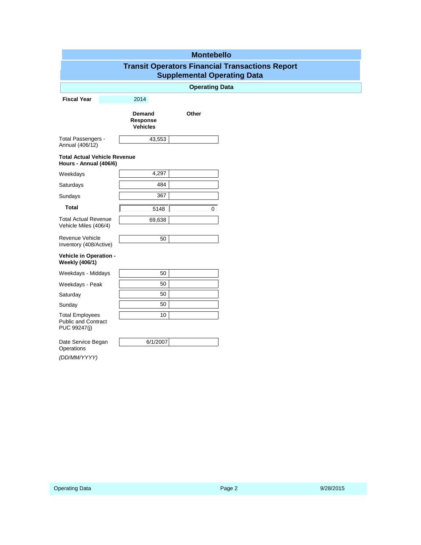| <b>Montebello</b>                                                                            |                                       |                       |  |  |
|----------------------------------------------------------------------------------------------|---------------------------------------|-----------------------|--|--|
| <b>Transit Operators Financial Transactions Report</b><br><b>Supplemental Operating Data</b> |                                       |                       |  |  |
|                                                                                              |                                       | <b>Operating Data</b> |  |  |
| <b>Fiscal Year</b>                                                                           | 2014                                  |                       |  |  |
|                                                                                              | Demand<br>Response<br><b>Vehicles</b> | Other                 |  |  |
| Total Passengers -<br>Annual (406/12)                                                        | 43,553                                |                       |  |  |
| <b>Total Actual Vehicle Revenue</b><br>Hours - Annual (406/6)                                |                                       |                       |  |  |
| Weekdays                                                                                     | 4,297                                 |                       |  |  |
| Saturdays                                                                                    | 484                                   |                       |  |  |
| Sundays                                                                                      | 367                                   |                       |  |  |
| <b>Total</b>                                                                                 | 5148                                  | $\Omega$              |  |  |
| <b>Total Actual Revenue</b><br>Vehicle Miles (406/4)                                         | 69,638                                |                       |  |  |
| Revenue Vehicle<br>Inventory (408/Active)                                                    | 50                                    |                       |  |  |
| Vehicle in Operation -<br><b>Weekly (406/1)</b>                                              |                                       |                       |  |  |
| Weekdays - Middays                                                                           | 50                                    |                       |  |  |
| Weekdays - Peak                                                                              | 50                                    |                       |  |  |
| Saturday                                                                                     | 50                                    |                       |  |  |
| Sunday                                                                                       | 50                                    |                       |  |  |
| <b>Total Employees</b><br><b>Public and Contract</b><br>PUC 99247(j)                         | 10                                    |                       |  |  |
| Date Service Began<br>Operations                                                             | 6/1/2007                              |                       |  |  |
| (DD/MM/YYYY)                                                                                 |                                       |                       |  |  |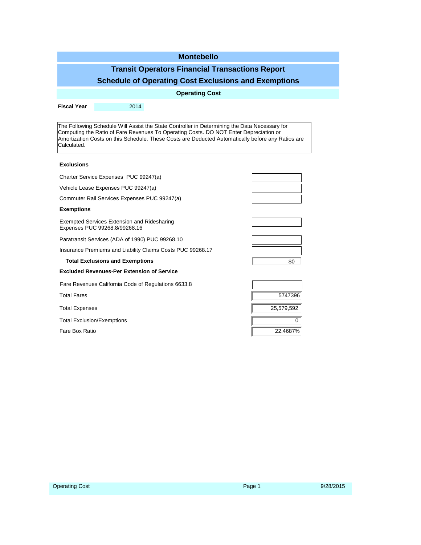| <b>Montebello</b>                                                                                                                                                                                                                                                                                          |                                                     |  |            |         |  |  |  |
|------------------------------------------------------------------------------------------------------------------------------------------------------------------------------------------------------------------------------------------------------------------------------------------------------------|-----------------------------------------------------|--|------------|---------|--|--|--|
| <b>Transit Operators Financial Transactions Report</b>                                                                                                                                                                                                                                                     |                                                     |  |            |         |  |  |  |
| <b>Schedule of Operating Cost Exclusions and Exemptions</b>                                                                                                                                                                                                                                                |                                                     |  |            |         |  |  |  |
| <b>Operating Cost</b>                                                                                                                                                                                                                                                                                      |                                                     |  |            |         |  |  |  |
| <b>Fiscal Year</b>                                                                                                                                                                                                                                                                                         | 2014                                                |  |            |         |  |  |  |
|                                                                                                                                                                                                                                                                                                            |                                                     |  |            |         |  |  |  |
| The Following Schedule Will Assist the State Controller in Determining the Data Necessary for<br>Computing the Ratio of Fare Revenues To Operating Costs. DO NOT Enter Depreciation or<br>Amortization Costs on this Schedule. These Costs are Deducted Automatically before any Ratios are<br>Calculated. |                                                     |  |            |         |  |  |  |
| <b>Exclusions</b>                                                                                                                                                                                                                                                                                          |                                                     |  |            |         |  |  |  |
|                                                                                                                                                                                                                                                                                                            | Charter Service Expenses PUC 99247(a)               |  |            |         |  |  |  |
|                                                                                                                                                                                                                                                                                                            | Vehicle Lease Expenses PUC 99247(a)                 |  |            |         |  |  |  |
|                                                                                                                                                                                                                                                                                                            | Commuter Rail Services Expenses PUC 99247(a)        |  |            |         |  |  |  |
| <b>Exemptions</b>                                                                                                                                                                                                                                                                                          |                                                     |  |            |         |  |  |  |
| <b>Exempted Services Extension and Ridesharing</b><br>Expenses PUC 99268.8/99268.16                                                                                                                                                                                                                        |                                                     |  |            |         |  |  |  |
| Paratransit Services (ADA of 1990) PUC 99268.10                                                                                                                                                                                                                                                            |                                                     |  |            |         |  |  |  |
| Insurance Premiums and Liability Claims Costs PUC 99268.17                                                                                                                                                                                                                                                 |                                                     |  |            |         |  |  |  |
|                                                                                                                                                                                                                                                                                                            | <b>Total Exclusions and Exemptions</b>              |  |            | \$0     |  |  |  |
|                                                                                                                                                                                                                                                                                                            | <b>Excluded Revenues-Per Extension of Service</b>   |  |            |         |  |  |  |
|                                                                                                                                                                                                                                                                                                            | Fare Revenues California Code of Regulations 6633.8 |  |            |         |  |  |  |
| <b>Total Fares</b>                                                                                                                                                                                                                                                                                         |                                                     |  |            | 5747396 |  |  |  |
| <b>Total Expenses</b>                                                                                                                                                                                                                                                                                      |                                                     |  | 25,579,592 |         |  |  |  |
| <b>Total Exclusion/Exemptions</b>                                                                                                                                                                                                                                                                          |                                                     |  | 0          |         |  |  |  |
| Fare Box Ratio                                                                                                                                                                                                                                                                                             |                                                     |  | 22.4687%   |         |  |  |  |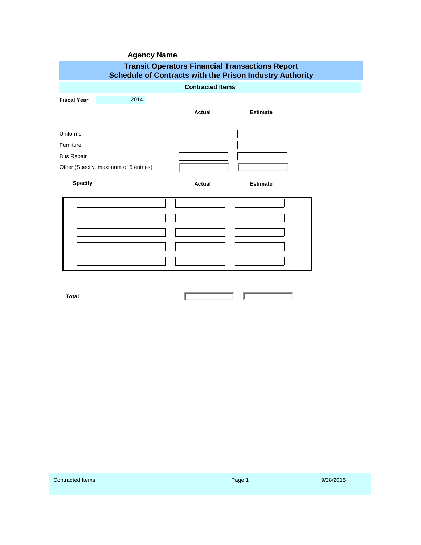|                                                                                                                           | <b>Agency Name</b>                    |        |                 |  |  |  |  |  |
|---------------------------------------------------------------------------------------------------------------------------|---------------------------------------|--------|-----------------|--|--|--|--|--|
| <b>Transit Operators Financial Transactions Report</b><br><b>Schedule of Contracts with the Prison Industry Authority</b> |                                       |        |                 |  |  |  |  |  |
| <b>Contracted Items</b>                                                                                                   |                                       |        |                 |  |  |  |  |  |
| <b>Fiscal Year</b>                                                                                                        | 2014                                  |        |                 |  |  |  |  |  |
|                                                                                                                           |                                       | Actual | <b>Estimate</b> |  |  |  |  |  |
| Uniforms                                                                                                                  |                                       |        |                 |  |  |  |  |  |
| Furniture                                                                                                                 |                                       |        |                 |  |  |  |  |  |
| <b>Bus Repair</b>                                                                                                         |                                       |        |                 |  |  |  |  |  |
|                                                                                                                           | Other (Specify, maximum of 5 entries) |        |                 |  |  |  |  |  |
| <b>Specify</b>                                                                                                            |                                       | Actual | <b>Estimate</b> |  |  |  |  |  |
|                                                                                                                           |                                       |        |                 |  |  |  |  |  |
|                                                                                                                           |                                       |        |                 |  |  |  |  |  |
|                                                                                                                           |                                       |        |                 |  |  |  |  |  |
|                                                                                                                           |                                       |        |                 |  |  |  |  |  |
|                                                                                                                           |                                       |        |                 |  |  |  |  |  |
|                                                                                                                           |                                       |        |                 |  |  |  |  |  |

**The Common Property Service** 

Т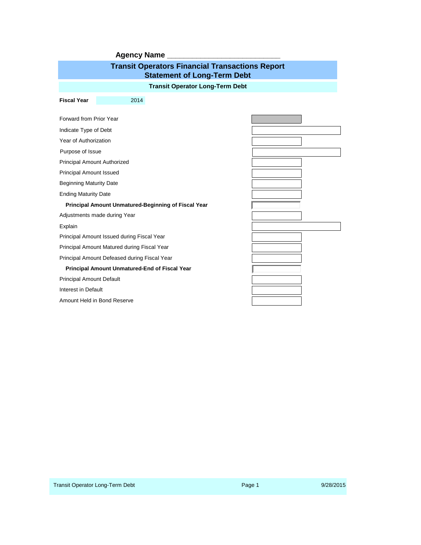| <b>Agency Name</b>                                                                           |  |  |  |  |  |  |  |
|----------------------------------------------------------------------------------------------|--|--|--|--|--|--|--|
| <b>Transit Operators Financial Transactions Report</b><br><b>Statement of Long-Term Debt</b> |  |  |  |  |  |  |  |
| <b>Transit Operator Long-Term Debt</b>                                                       |  |  |  |  |  |  |  |
| <b>Fiscal Year</b><br>2014                                                                   |  |  |  |  |  |  |  |
|                                                                                              |  |  |  |  |  |  |  |
| Forward from Prior Year                                                                      |  |  |  |  |  |  |  |
| Indicate Type of Debt                                                                        |  |  |  |  |  |  |  |
| Year of Authorization                                                                        |  |  |  |  |  |  |  |
| Purpose of Issue                                                                             |  |  |  |  |  |  |  |
| <b>Principal Amount Authorized</b>                                                           |  |  |  |  |  |  |  |
| <b>Principal Amount Issued</b>                                                               |  |  |  |  |  |  |  |
| <b>Beginning Maturity Date</b>                                                               |  |  |  |  |  |  |  |
| <b>Ending Maturity Date</b>                                                                  |  |  |  |  |  |  |  |
| Principal Amount Unmatured-Beginning of Fiscal Year                                          |  |  |  |  |  |  |  |
| Adjustments made during Year                                                                 |  |  |  |  |  |  |  |
| Explain                                                                                      |  |  |  |  |  |  |  |
| Principal Amount Issued during Fiscal Year                                                   |  |  |  |  |  |  |  |
| Principal Amount Matured during Fiscal Year                                                  |  |  |  |  |  |  |  |
| Principal Amount Defeased during Fiscal Year                                                 |  |  |  |  |  |  |  |
| Principal Amount Unmatured-End of Fiscal Year                                                |  |  |  |  |  |  |  |
| Principal Amount Default                                                                     |  |  |  |  |  |  |  |
| Interest in Default                                                                          |  |  |  |  |  |  |  |
| Amount Held in Bond Reserve                                                                  |  |  |  |  |  |  |  |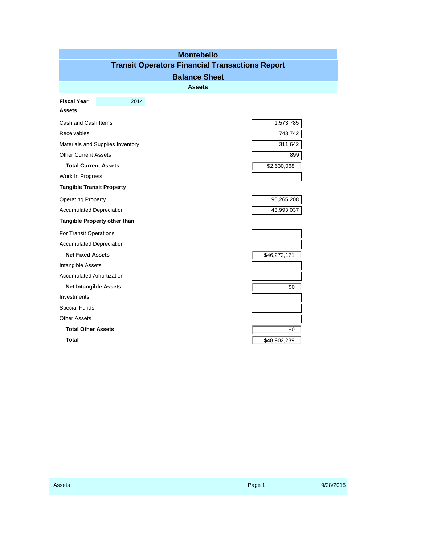|                                  | <b>Montebello</b><br><b>Transit Operators Financial Transactions Report</b> |  |
|----------------------------------|-----------------------------------------------------------------------------|--|
|                                  | <b>Balance Sheet</b>                                                        |  |
|                                  | <b>Assets</b>                                                               |  |
|                                  |                                                                             |  |
| 2014<br><b>Fiscal Year</b>       |                                                                             |  |
| <b>Assets</b>                    |                                                                             |  |
| Cash and Cash Items              | 1,573,785                                                                   |  |
| <b>Receivables</b>               | 743,742                                                                     |  |
| Materials and Supplies Inventory | 311,642                                                                     |  |
| <b>Other Current Assets</b>      | 899                                                                         |  |
| <b>Total Current Assets</b>      | \$2,630,068                                                                 |  |
| Work In Progress                 |                                                                             |  |
| <b>Tangible Transit Property</b> |                                                                             |  |
| <b>Operating Property</b>        | 90,265,208                                                                  |  |
| <b>Accumulated Depreciation</b>  | 43,993,037                                                                  |  |
| Tangible Property other than     |                                                                             |  |
| For Transit Operations           |                                                                             |  |
| <b>Accumulated Depreciation</b>  |                                                                             |  |
| <b>Net Fixed Assets</b>          | \$46,272,171                                                                |  |
| Intangible Assets                |                                                                             |  |
| <b>Accumulated Amortization</b>  |                                                                             |  |
| <b>Net Intangible Assets</b>     | \$0                                                                         |  |
| Investments                      |                                                                             |  |
| Special Funds                    |                                                                             |  |
| <b>Other Assets</b>              |                                                                             |  |
| <b>Total Other Assets</b>        | \$0                                                                         |  |
| Total                            | \$48,902,239                                                                |  |

e<br>S